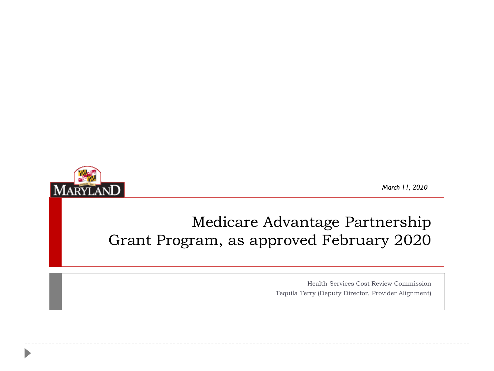

*March 11, 2020*

## Medicare Advantage Partnership Grant Program, as approved February 2020

Health Services Cost Review Commission Tequila Terry (Deputy Director, Provider Alignment)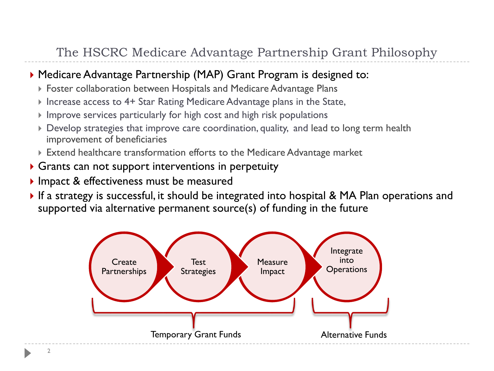#### The HSCRC Medicare Advantage Partnership Grant Philosophy

#### Medicare Advantage Partnership (MAP) Grant Program is designed to:

- Foster collaboration between Hospitals and Medicare Advantage Plans
- Increase access to 4+ Star Rating Medicare Advantage plans in the State,
- $\triangleright$  Improve services particularly for high cost and high risk populations
- Develop strategies that improve care coordination, quality, and lead to long term health improvement of beneficiaries
- Extend healthcare transformation efforts to the Medicare Advantage market
- Grants can not support interventions in perpetuity
- Impact & effectiveness must be measured
- If a strategy is successful, it should be integrated into hospital & MA Plan operations and supported via alternative permanent source(s) of funding in the future

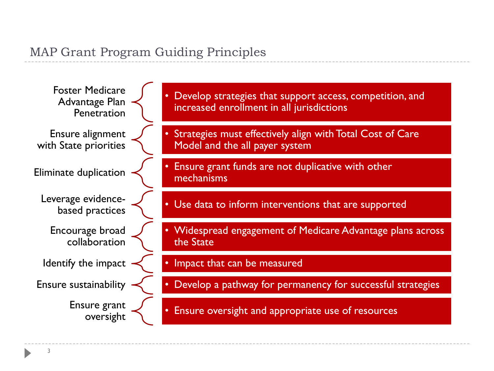#### MAP Grant Program Guiding Principles

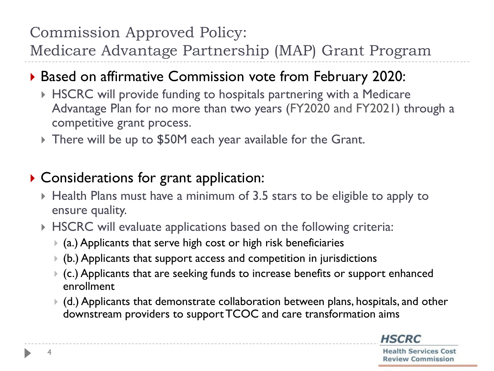## Commission Approved Policy:

Medicare Advantage Partnership (MAP) Grant Program

## Based on affirmative Commission vote from February 2020:

- HSCRC will provide funding to hospitals partnering with a Medicare Advantage Plan for no more than two years (FY2020 and FY2021) through a competitive grant process.
- There will be up to \$50M each year available for the Grant.

## Considerations for grant application:

- Health Plans must have a minimum of 3.5 stars to be eligible to apply to ensure quality.
- HSCRC will evaluate applications based on the following criteria:
	- $\bullet$  (a.) Applicants that serve high cost or high risk beneficiaries
	- (b.) Applicants that support access and competition in jurisdictions
	- (c.) Applicants that are seeking funds to increase benefits or support enhanced enrollment
	- (d.) Applicants that demonstrate collaboration between plans, hospitals, and other downstream providers to support TCOC and care transformation aims

**HSCRC**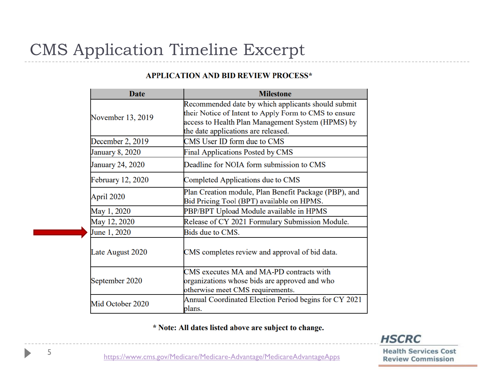# CMS Application Timeline Excerpt

| <b>Date</b>              | <b>Milestone</b>                                                                                                                                                                                        |
|--------------------------|---------------------------------------------------------------------------------------------------------------------------------------------------------------------------------------------------------|
| November 13, 2019        | Recommended date by which applicants should submit<br>their Notice of Intent to Apply Form to CMS to ensure<br>access to Health Plan Management System (HPMS) by<br>the date applications are released. |
| December 2, 2019         | CMS User ID form due to CMS                                                                                                                                                                             |
| <b>January 8, 2020</b>   | Final Applications Posted by CMS                                                                                                                                                                        |
| <b>January 24, 2020</b>  | Deadline for NOIA form submission to CMS                                                                                                                                                                |
| <b>February 12, 2020</b> | Completed Applications due to CMS                                                                                                                                                                       |
| April 2020               | Plan Creation module, Plan Benefit Package (PBP), and<br>Bid Pricing Tool (BPT) available on HPMS.                                                                                                      |
| May 1, 2020              | PBP/BPT Upload Module available in HPMS                                                                                                                                                                 |
| May 12, 2020             | Release of CY 2021 Formulary Submission Module.                                                                                                                                                         |
| June 1, 2020             | Bids due to CMS.                                                                                                                                                                                        |
| Late August 2020         | CMS completes review and approval of bid data.                                                                                                                                                          |
| September 2020           | CMS executes MA and MA-PD contracts with<br>organizations whose bids are approved and who<br>otherwise meet CMS requirements.                                                                           |
| Mid October 2020         | Annual Coordinated Election Period begins for CY 2021<br>plans.                                                                                                                                         |

#### **APPLICATION AND BID REVIEW PROCESS\***

\* Note: All dates listed above are subject to change.



**Health Services Cost Review Commission** 

https[://www.cms.gov/Medicare/Medicare-Advantage/MedicareAdvantageApps](https://www.cms.gov/Medicare/Medicare-Advantage/MedicareAdvantageApps)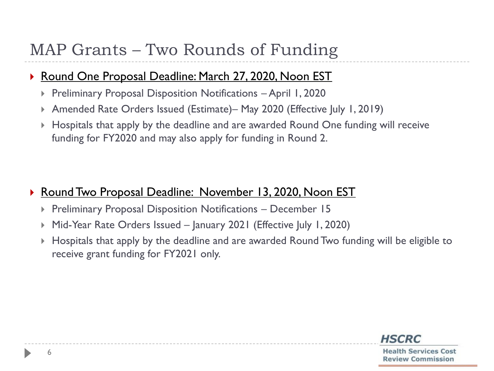# MAP Grants – Two Rounds of Funding

#### ▶ Round One Proposal Deadline: March 27, 2020, Noon EST

- Preliminary Proposal Disposition Notifications April 1, 2020
- Amended Rate Orders Issued (Estimate)– May 2020 (Effective July 1, 2019)
- Hospitals that apply by the deadline and are awarded Round One funding will receive funding for FY2020 and may also apply for funding in Round 2.

#### ▶ Round Two Proposal Deadline: November 13, 2020, Noon EST

- **Preliminary Proposal Disposition Notifications December 15**
- Mid-Year Rate Orders Issued January 2021 (Effective July 1, 2020)
- Hospitals that apply by the deadline and are awarded Round Two funding will be eligible to receive grant funding for FY2021 only.

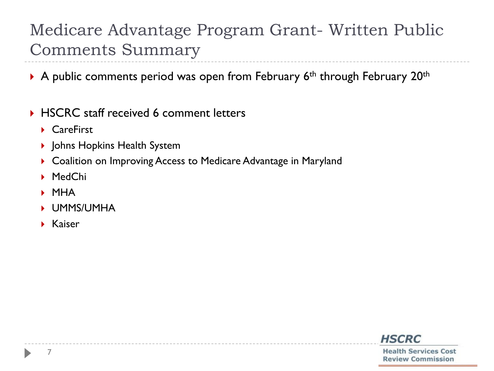# Medicare Advantage Program Grant- Written Public Comments Summary

- A public comments period was open from February  $6<sup>th</sup>$  through February 20<sup>th</sup>
- ▶ HSCRC staff received 6 comment letters
	- ▶ CareFirst
	- ▶ Johns Hopkins Health System
	- ▶ Coalition on Improving Access to Medicare Advantage in Maryland
	- MedChi
	- MHA
	- UMMS/UMHA
	- $\blacktriangleright$  Kaiser



7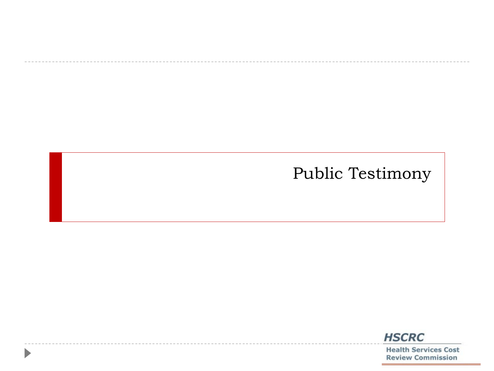## Public Testimony

D